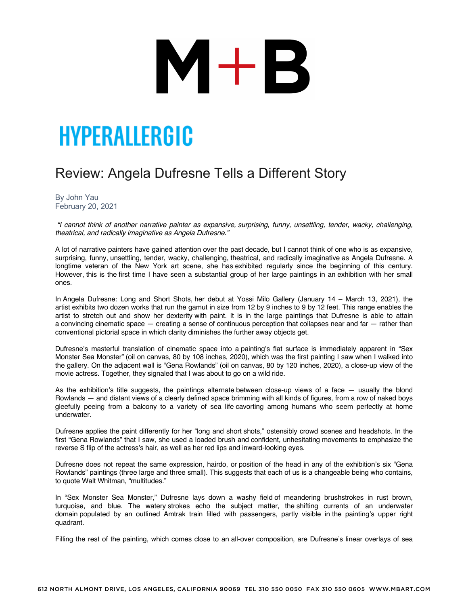# M+B

### HYPERALLERGIC

#### Review: Angela Dufresne Tells a Different Story

By John Yau February 20, 2021

*"I cannot think of another narrative painter as expansive, surprising, funny, unsettling, tender, wacky, challenging, theatrical, and radically imaginative as Angela Dufresne."*

A lot of narrative painters have gained attention over the past decade, but I cannot think of one who is as expansive, surprising, funny, unsettling, tender, wacky, challenging, theatrical, and radically imaginative as Angela Dufresne. A longtime veteran of the New York art scene, she has exhibited regularly since the beginning of this century. However, this is the first time I have seen a substantial group of her large paintings in an exhibition with her small ones.

In Angela Dufresne: Long and Short Shots, her debut at Yossi Milo Gallery (January 14 – March 13, 2021), the artist exhibits two dozen works that run the gamut in size from 12 by 9 inches to 9 by 12 feet. This range enables the artist to stretch out and show her dexterity with paint. It is in the large paintings that Dufresne is able to attain a convincing cinematic space — creating a sense of continuous perception that collapses near and far — rather than conventional pictorial space in which clarity diminishes the further away objects get.

Dufresne's masterful translation of cinematic space into a painting's flat surface is immediately apparent in "Sex Monster Sea Monster" (oil on canvas, 80 by 108 inches, 2020), which was the first painting I saw when I walked into the gallery. On the adjacent wall is "Gena Rowlands" (oil on canvas, 80 by 120 inches, 2020), a close-up view of the movie actress. Together, they signaled that I was about to go on a wild ride.

As the exhibition's title suggests, the paintings alternate between close-up views of a face — usually the blond Rowlands — and distant views of a clearly defined space brimming with all kinds of figures, from a row of naked boys gleefully peeing from a balcony to a variety of sea life cavorting among humans who seem perfectly at home underwater.

Dufresne applies the paint differently for her "long and short shots," ostensibly crowd scenes and headshots. In the first "Gena Rowlands" that I saw, she used a loaded brush and confident, unhesitating movements to emphasize the reverse S flip of the actress's hair, as well as her red lips and inward-looking eyes.

Dufresne does not repeat the same expression, hairdo, or position of the head in any of the exhibition's six "Gena Rowlands" paintings (three large and three small). This suggests that each of us is a changeable being who contains, to quote Walt Whitman, "multitudes."

In "Sex Monster Sea Monster," Dufresne lays down a washy field of meandering brushstrokes in rust brown, turquoise, and blue. The watery strokes echo the subject matter, the shifting currents of an underwater domain populated by an outlined Amtrak train filled with passengers, partly visible in the painting's upper right quadrant.

Filling the rest of the painting, which comes close to an all-over composition, are Dufresne's linear overlays of sea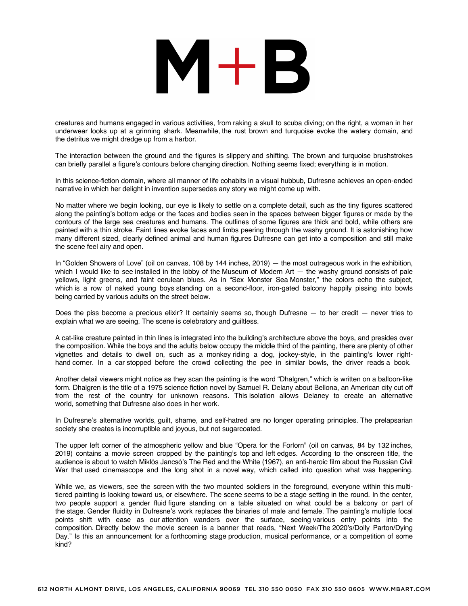### $M+B$

creatures and humans engaged in various activities, from raking a skull to scuba diving; on the right, a woman in her underwear looks up at a grinning shark. Meanwhile, the rust brown and turquoise evoke the watery domain, and the detritus we might dredge up from a harbor.

The interaction between the ground and the figures is slippery and shifting. The brown and turquoise brushstrokes can briefly parallel a figure's contours before changing direction. Nothing seems fixed; everything is in motion.

In this science-fiction domain, where all manner of life cohabits in a visual hubbub, Dufresne achieves an open-ended narrative in which her delight in invention supersedes any story we might come up with.

No matter where we begin looking, our eye is likely to settle on a complete detail, such as the tiny figures scattered along the painting's bottom edge or the faces and bodies seen in the spaces between bigger figures or made by the contours of the large sea creatures and humans. The outlines of some figures are thick and bold, while others are painted with a thin stroke. Faint lines evoke faces and limbs peering through the washy ground. It is astonishing how many different sized, clearly defined animal and human figures Dufresne can get into a composition and still make the scene feel airy and open.

In "Golden Showers of Love" (oil on canvas, 108 by 144 inches, 2019) — the most outrageous work in the exhibition, which I would like to see installed in the lobby of the Museum of Modern Art — the washy ground consists of pale yellows, light greens, and faint cerulean blues. As in "Sex Monster Sea Monster," the colors echo the subject, which is a row of naked young boys standing on a second-floor, iron-gated balcony happily pissing into bowls being carried by various adults on the street below.

Does the piss become a precious elixir? It certainly seems so, though Dufresne — to her credit — never tries to explain what we are seeing. The scene is celebratory and guiltless.

A cat-like creature painted in thin lines is integrated into the building's architecture above the boys, and presides over the composition. While the boys and the adults below occupy the middle third of the painting, there are plenty of other vignettes and details to dwell on, such as a monkey riding a dog, jockey-style, in the painting's lower righthand corner. In a car stopped before the crowd collecting the pee in similar bowls, the driver reads a book.

Another detail viewers might notice as they scan the painting is the word "Dhalgren," which is written on a balloon-like form. Dhalgren is the title of a 1975 science fiction novel by Samuel R. Delany about Bellona, an American city cut off from the rest of the country for unknown reasons. This isolation allows Delaney to create an alternative world, something that Dufresne also does in her work.

In Dufresne's alternative worlds, guilt, shame, and self-hatred are no longer operating principles. The prelapsarian society she creates is incorruptible and joyous, but not sugarcoated.

The upper left corner of the atmospheric yellow and blue "Opera for the Forlorn" (oil on canvas, 84 by 132 inches, 2019) contains a movie screen cropped by the painting's top and left edges. According to the onscreen title, the audience is about to watch Miklós Jancsó's The Red and the White (1967), an anti-heroic film about the Russian Civil War that used cinemascope and the long shot in a novel way, which called into question what was happening.

While we, as viewers, see the screen with the two mounted soldiers in the foreground, everyone within this multitiered painting is looking toward us, or elsewhere. The scene seems to be a stage setting in the round. In the center, two people support a gender fluid figure standing on a table situated on what could be a balcony or part of the stage. Gender fluidity in Dufresne's work replaces the binaries of male and female. The painting's multiple focal points shift with ease as our attention wanders over the surface, seeing various entry points into the composition. Directly below the movie screen is a banner that reads, "Next Week/The 2020's/Dolly Parton/Dying Day." Is this an announcement for a forthcoming stage production, musical performance, or a competition of some kind?